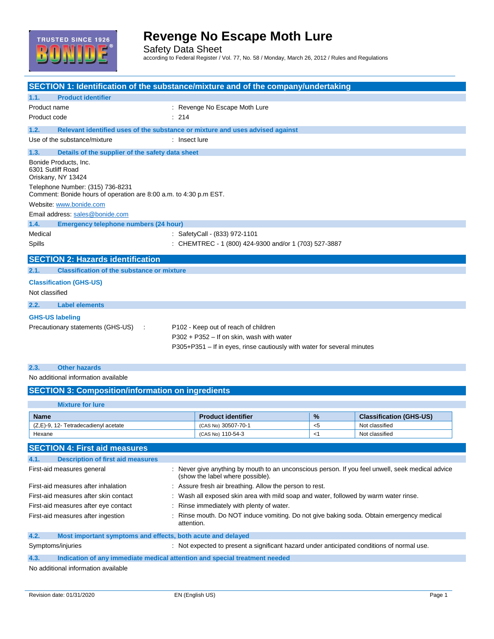

Safety Data Sheet according to Federal Register / Vol. 77, No. 58 / Monday, March 26, 2012 / Rules and Regulations

| <b>SECTION 1: Identification of the substance/mixture and of the company/undertaking</b>              |                                                                                            |                                                                                                  |       |                                |  |
|-------------------------------------------------------------------------------------------------------|--------------------------------------------------------------------------------------------|--------------------------------------------------------------------------------------------------|-------|--------------------------------|--|
| <b>Product identifier</b><br>1.1.                                                                     |                                                                                            |                                                                                                  |       |                                |  |
| Product name                                                                                          |                                                                                            | : Revenge No Escape Moth Lure                                                                    |       |                                |  |
| Product code                                                                                          | : 214                                                                                      |                                                                                                  |       |                                |  |
|                                                                                                       |                                                                                            |                                                                                                  |       |                                |  |
| 1.2.<br>Relevant identified uses of the substance or mixture and uses advised against                 |                                                                                            |                                                                                                  |       |                                |  |
| Use of the substance/mixture                                                                          | : Insect lure                                                                              |                                                                                                  |       |                                |  |
| 1.3.<br>Details of the supplier of the safety data sheet                                              |                                                                                            |                                                                                                  |       |                                |  |
| Bonide Products, Inc.<br>6301 Sutliff Road<br>Oriskany, NY 13424                                      |                                                                                            |                                                                                                  |       |                                |  |
| Telephone Number: (315) 736-8231<br>Comment: Bonide hours of operation are 8:00 a.m. to 4:30 p.m EST. |                                                                                            |                                                                                                  |       |                                |  |
| Website: www.bonide.com                                                                               |                                                                                            |                                                                                                  |       |                                |  |
| Email address: sales@bonide.com                                                                       |                                                                                            |                                                                                                  |       |                                |  |
| 1.4.<br>Emergency telephone numbers (24 hour)                                                         |                                                                                            |                                                                                                  |       |                                |  |
| Medical                                                                                               |                                                                                            | : SafetyCall - (833) 972-1101                                                                    |       |                                |  |
| Spills                                                                                                |                                                                                            | : CHEMTREC - 1 (800) 424-9300 and/or 1 (703) 527-3887                                            |       |                                |  |
| <b>SECTION 2: Hazards identification</b>                                                              |                                                                                            |                                                                                                  |       |                                |  |
| <b>Classification of the substance or mixture</b><br>2.1.                                             |                                                                                            |                                                                                                  |       |                                |  |
| <b>Classification (GHS-US)</b>                                                                        |                                                                                            |                                                                                                  |       |                                |  |
| Not classified                                                                                        |                                                                                            |                                                                                                  |       |                                |  |
|                                                                                                       |                                                                                            |                                                                                                  |       |                                |  |
| <b>Label elements</b><br>2.2.                                                                         |                                                                                            |                                                                                                  |       |                                |  |
| <b>GHS-US labeling</b>                                                                                |                                                                                            |                                                                                                  |       |                                |  |
| Precautionary statements (GHS-US)                                                                     |                                                                                            | P102 - Keep out of reach of children                                                             |       |                                |  |
|                                                                                                       |                                                                                            | $P302 + P352 - If on skin, wash with water$                                                      |       |                                |  |
|                                                                                                       |                                                                                            | P305+P351 - If in eyes, rinse cautiously with water for several minutes                          |       |                                |  |
|                                                                                                       |                                                                                            |                                                                                                  |       |                                |  |
| <b>Other hazards</b><br>2.3.                                                                          |                                                                                            |                                                                                                  |       |                                |  |
| No additional information available                                                                   |                                                                                            |                                                                                                  |       |                                |  |
| <b>SECTION 3: Composition/information on ingredients</b>                                              |                                                                                            |                                                                                                  |       |                                |  |
| <b>Mixture for lure</b>                                                                               |                                                                                            |                                                                                                  |       |                                |  |
| Name                                                                                                  |                                                                                            | <b>Product identifier</b>                                                                        | %     | <b>Classification (GHS-US)</b> |  |
| (Z,E)-9, 12- Tetradecadienyl acetate                                                                  |                                                                                            | (CAS No) 30507-70-1                                                                              | $<$ 5 | Not classified                 |  |
| Hexane                                                                                                |                                                                                            | (CAS No) 110-54-3                                                                                | <1    | Not classified                 |  |
| <b>SECTION 4: First aid measures</b>                                                                  |                                                                                            |                                                                                                  |       |                                |  |
|                                                                                                       |                                                                                            |                                                                                                  |       |                                |  |
| <b>Description of first aid measures</b><br>4.1.                                                      |                                                                                            | : Never give anything by mouth to an unconscious person. If you feel unwell, seek medical advice |       |                                |  |
| First-aid measures general                                                                            |                                                                                            | (show the label where possible).                                                                 |       |                                |  |
| First-aid measures after inhalation                                                                   | : Assure fresh air breathing. Allow the person to rest.                                    |                                                                                                  |       |                                |  |
| First-aid measures after skin contact                                                                 |                                                                                            | : Wash all exposed skin area with mild soap and water, followed by warm water rinse.             |       |                                |  |
| First-aid measures after eye contact                                                                  | Rinse immediately with plenty of water.                                                    |                                                                                                  |       |                                |  |
| First-aid measures after ingestion                                                                    |                                                                                            | Rinse mouth. Do NOT induce vomiting. Do not give baking soda. Obtain emergency medical           |       |                                |  |
|                                                                                                       | attention.                                                                                 |                                                                                                  |       |                                |  |
| Most important symptoms and effects, both acute and delayed<br>4.2.                                   |                                                                                            |                                                                                                  |       |                                |  |
| Symptoms/injuries                                                                                     | : Not expected to present a significant hazard under anticipated conditions of normal use. |                                                                                                  |       |                                |  |

**4.3. Indication of any immediate medical attention and special treatment needed**

No additional information available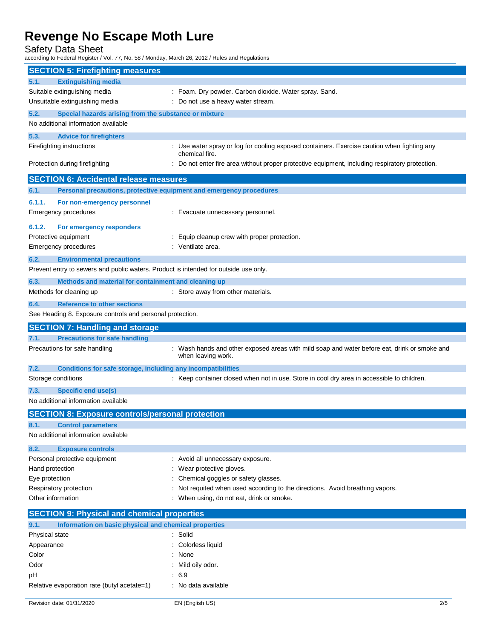Safety Data Sheet

according to Federal Register / Vol. 77, No. 58 / Monday, March 26, 2012 / Rules and Regulations

| <b>SECTION 5: Firefighting measures</b>                           |                                                                                                                    |
|-------------------------------------------------------------------|--------------------------------------------------------------------------------------------------------------------|
| <b>Extinguishing media</b><br>5.1.                                |                                                                                                                    |
| Suitable extinguishing media                                      | : Foam. Dry powder. Carbon dioxide. Water spray. Sand.                                                             |
| Unsuitable extinguishing media                                    | Do not use a heavy water stream.                                                                                   |
| 5.2.<br>Special hazards arising from the substance or mixture     |                                                                                                                    |
| No additional information available                               |                                                                                                                    |
| 5.3.<br><b>Advice for firefighters</b>                            |                                                                                                                    |
| Firefighting instructions                                         | : Use water spray or fog for cooling exposed containers. Exercise caution when fighting any                        |
| Protection during firefighting                                    | chemical fire.<br>Do not enter fire area without proper protective equipment, including respiratory protection.    |
|                                                                   |                                                                                                                    |
| <b>SECTION 6: Accidental release measures</b>                     |                                                                                                                    |
| 6.1.                                                              | Personal precautions, protective equipment and emergency procedures                                                |
| 6.1.1.<br>For non-emergency personnel                             |                                                                                                                    |
| <b>Emergency procedures</b>                                       | : Evacuate unnecessary personnel.                                                                                  |
| 6.1.2.<br>For emergency responders                                |                                                                                                                    |
| Protective equipment                                              | Equip cleanup crew with proper protection.                                                                         |
| <b>Emergency procedures</b>                                       | : Ventilate area.                                                                                                  |
| 6.2.<br><b>Environmental precautions</b>                          |                                                                                                                    |
|                                                                   | Prevent entry to sewers and public waters. Product is intended for outside use only.                               |
| 6.3.<br>Methods and material for containment and cleaning up      |                                                                                                                    |
| Methods for cleaning up                                           | : Store away from other materials.                                                                                 |
| <b>Reference to other sections</b><br>6.4.                        |                                                                                                                    |
| See Heading 8. Exposure controls and personal protection.         |                                                                                                                    |
| <b>SECTION 7: Handling and storage</b>                            |                                                                                                                    |
|                                                                   |                                                                                                                    |
| <b>Precautions for safe handling</b><br>7.1.                      |                                                                                                                    |
| Precautions for safe handling                                     | : Wash hands and other exposed areas with mild soap and water before eat, drink or smoke and<br>when leaving work. |
| 7.2.                                                              | Conditions for safe storage, including any incompatibilities                                                       |
| Storage conditions                                                | : Keep container closed when not in use. Store in cool dry area in accessible to children.                         |
| 7.3.                                                              |                                                                                                                    |
| <b>Specific end use(s)</b><br>No additional information available |                                                                                                                    |
|                                                                   |                                                                                                                    |
| <b>SECTION 8: Exposure controls/personal protection</b><br>8.1    |                                                                                                                    |
| <b>Control parameters</b><br>No additional information available  |                                                                                                                    |
| 8.2.<br><b>Exposure controls</b>                                  |                                                                                                                    |
| Personal protective equipment                                     | : Avoid all unnecessary exposure.                                                                                  |
| Hand protection                                                   | Wear protective gloves.                                                                                            |
| Eye protection                                                    | Chemical goggles or safety glasses.                                                                                |
| Respiratory protection                                            | Not requited when used according to the directions. Avoid breathing vapors.                                        |
| Other information                                                 | When using, do not eat, drink or smoke.                                                                            |
| <b>SECTION 9: Physical and chemical properties</b>                |                                                                                                                    |
| 9.1.<br>Information on basic physical and chemical properties     |                                                                                                                    |
| Physical state                                                    | : Solid                                                                                                            |
| Appearance                                                        | Colorless liquid                                                                                                   |
| Color                                                             | : None                                                                                                             |
| Odor                                                              | Mild oily odor.                                                                                                    |
| pH<br>Relative evaporation rate (butyl acetate=1)                 | .6.9<br>: No data available                                                                                        |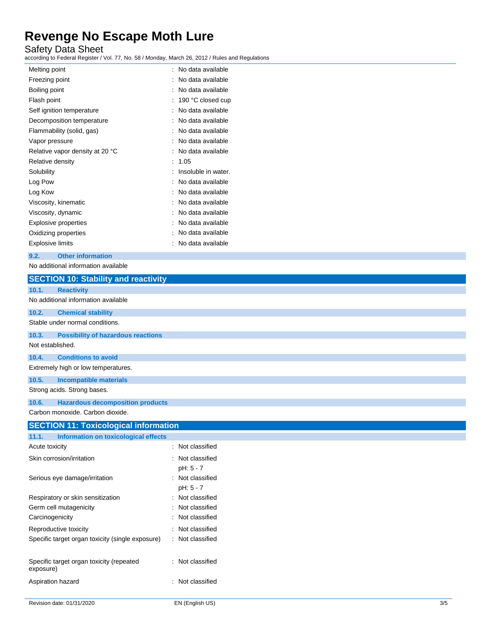Safety Data Sheet

according to Federal Register / Vol. 77, No. 58 / Monday, March 26, 2012 / Rules and Regulations

| t | No data available   |
|---|---------------------|
|   | No data available   |
|   | No data available   |
| İ | 190 °C closed cup   |
| ٠ | No data available   |
| İ | No data available   |
|   | No data available   |
| t | No data available   |
| t | No data available   |
|   | 1.05                |
|   | Insoluble in water. |
|   | No data available   |
|   | No data available   |
| ٠ | No data available   |
|   | No data available   |
|   | No data available   |
|   | No data available   |
|   | No data available   |
|   |                     |

**9.2. Other information**

No additional information available

| <b>SECTION 10: Stability and reactivity</b>           |                                  |
|-------------------------------------------------------|----------------------------------|
| <b>Reactivity</b><br>10.1.                            |                                  |
| No additional information available                   |                                  |
| 10.2.<br><b>Chemical stability</b>                    |                                  |
| Stable under normal conditions.                       |                                  |
| <b>Possibility of hazardous reactions</b><br>10.3.    |                                  |
| Not established.                                      |                                  |
| <b>Conditions to avoid</b><br>10.4.                   |                                  |
| Extremely high or low temperatures.                   |                                  |
| 10.5.<br><b>Incompatible materials</b>                |                                  |
| Strong acids. Strong bases.                           |                                  |
| <b>Hazardous decomposition products</b><br>10.6.      |                                  |
| Carbon monoxide. Carbon dioxide.                      |                                  |
| <b>SECTION 11: Toxicological information</b>          |                                  |
| 11.1.<br><b>Information on toxicological effects</b>  |                                  |
| Acute toxicity                                        | : Not classified                 |
| Skin corrosion/irritation                             | Not classified                   |
|                                                       | pH: 5 - 7                        |
| Serious eye damage/irritation                         | Not classified                   |
|                                                       | pH: 5 - 7                        |
| Respiratory or skin sensitization                     | : Not classified                 |
| Germ cell mutagenicity                                | Not classified<br>Not classified |
| Carcinogenicity                                       |                                  |
| Reproductive toxicity                                 | : Not classified                 |
| Specific target organ toxicity (single exposure)      | : Not classified                 |
| Specific target organ toxicity (repeated<br>exposure) | : Not classified                 |
|                                                       |                                  |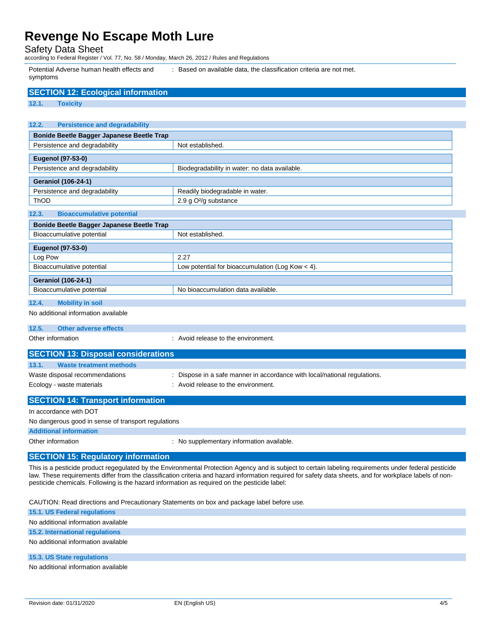Safety Data Sheet

according to Federal Register / Vol. 77, No. 58 / Monday, March 26, 2012 / Rules and Regulations

Potential Adverse human health effects and symptoms

: Based on available data, the classification criteria are not met.

| <b>SECTION 12: Ecological information</b>                                                    |                                                                                                                                                                                                                                                                                                                    |
|----------------------------------------------------------------------------------------------|--------------------------------------------------------------------------------------------------------------------------------------------------------------------------------------------------------------------------------------------------------------------------------------------------------------------|
| 12.1.<br><b>Toxicity</b>                                                                     |                                                                                                                                                                                                                                                                                                                    |
|                                                                                              |                                                                                                                                                                                                                                                                                                                    |
| 12.2.<br><b>Persistence and degradability</b>                                                |                                                                                                                                                                                                                                                                                                                    |
| Bonide Beetle Bagger Japanese Beetle Trap                                                    |                                                                                                                                                                                                                                                                                                                    |
| Persistence and degradability                                                                | Not established.                                                                                                                                                                                                                                                                                                   |
|                                                                                              |                                                                                                                                                                                                                                                                                                                    |
| Eugenol (97-53-0)<br>Persistence and degradability                                           | Biodegradability in water: no data available.                                                                                                                                                                                                                                                                      |
|                                                                                              |                                                                                                                                                                                                                                                                                                                    |
| <b>Geraniol (106-24-1)</b>                                                                   |                                                                                                                                                                                                                                                                                                                    |
| Persistence and degradability                                                                | Readily biodegradable in water.                                                                                                                                                                                                                                                                                    |
| ThOD                                                                                         | 2.9 g O <sup>2</sup> /g substance                                                                                                                                                                                                                                                                                  |
| 12.3.<br><b>Bioaccumulative potential</b>                                                    |                                                                                                                                                                                                                                                                                                                    |
| Bonide Beetle Bagger Japanese Beetle Trap                                                    |                                                                                                                                                                                                                                                                                                                    |
| Bioaccumulative potential                                                                    | Not established.                                                                                                                                                                                                                                                                                                   |
| <b>Eugenol (97-53-0)</b>                                                                     |                                                                                                                                                                                                                                                                                                                    |
| Log Pow                                                                                      | 2.27                                                                                                                                                                                                                                                                                                               |
| Bioaccumulative potential                                                                    | Low potential for bioaccumulation (Log Kow < 4).                                                                                                                                                                                                                                                                   |
|                                                                                              |                                                                                                                                                                                                                                                                                                                    |
| <b>Geraniol (106-24-1)</b>                                                                   |                                                                                                                                                                                                                                                                                                                    |
| Bioaccumulative potential                                                                    | No bioaccumulation data available.                                                                                                                                                                                                                                                                                 |
| <b>Mobility in soil</b><br>12.4.                                                             |                                                                                                                                                                                                                                                                                                                    |
| No additional information available                                                          |                                                                                                                                                                                                                                                                                                                    |
| 12.5.<br><b>Other adverse effects</b>                                                        |                                                                                                                                                                                                                                                                                                                    |
| Other information                                                                            | : Avoid release to the environment.                                                                                                                                                                                                                                                                                |
|                                                                                              |                                                                                                                                                                                                                                                                                                                    |
| <b>SECTION 13: Disposal considerations</b>                                                   |                                                                                                                                                                                                                                                                                                                    |
| 13.1.<br><b>Waste treatment methods</b>                                                      |                                                                                                                                                                                                                                                                                                                    |
| Waste disposal recommendations                                                               | : Dispose in a safe manner in accordance with local/national regulations.                                                                                                                                                                                                                                          |
| Ecology - waste materials                                                                    | : Avoid release to the environment.                                                                                                                                                                                                                                                                                |
| <b>SECTION 14: Transport information</b>                                                     |                                                                                                                                                                                                                                                                                                                    |
|                                                                                              |                                                                                                                                                                                                                                                                                                                    |
| In accordance with DOT                                                                       |                                                                                                                                                                                                                                                                                                                    |
| No dangerous good in sense of transport regulations                                          |                                                                                                                                                                                                                                                                                                                    |
| <b>Additional information</b>                                                                |                                                                                                                                                                                                                                                                                                                    |
| Other information                                                                            | : No supplementary information available.                                                                                                                                                                                                                                                                          |
| <b>SECTION 15: Regulatory information</b>                                                    |                                                                                                                                                                                                                                                                                                                    |
| pesticide chemicals. Following is the hazard information as required on the pesticide label: | This is a pesticide product regegulated by the Environmental Protection Agency and is subject to certain labeling requirements under federal pesticide<br>law. These requirements differ from the classification criteria and hazard information required for safety data sheets, and for workplace labels of non- |
| CAUTION: Read directions and Precautionary Statements on box and package label before use.   |                                                                                                                                                                                                                                                                                                                    |
| <b>15.1. US Federal regulations</b>                                                          |                                                                                                                                                                                                                                                                                                                    |
| No additional information available                                                          |                                                                                                                                                                                                                                                                                                                    |
| 15.2. International regulations                                                              |                                                                                                                                                                                                                                                                                                                    |

No additional information available

**15.3. US State regulations**

No additional information available